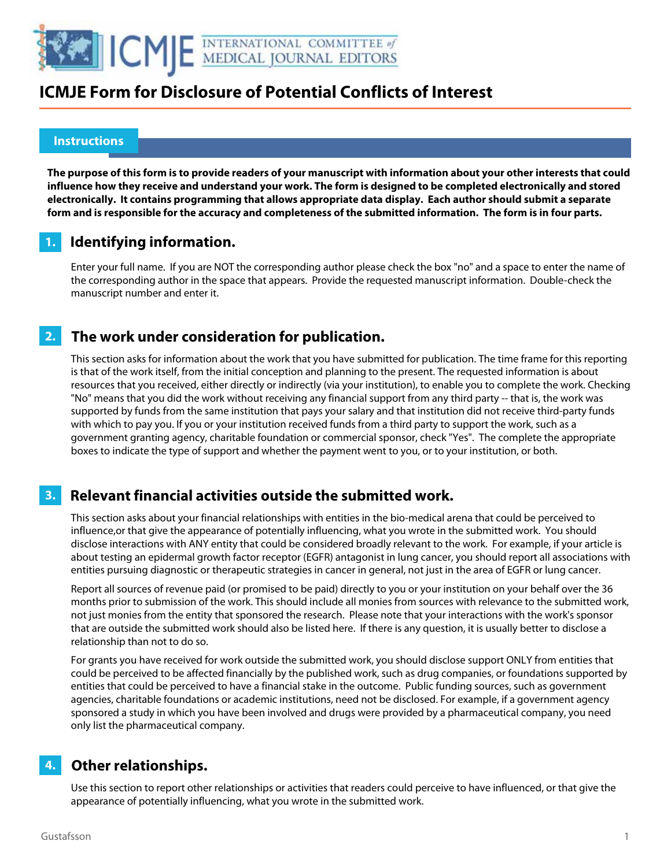

### **Instructions**

l

**The purpose of this form is to provide readers of your manuscript with information about your other interests that could influence how they receive and understand your work. The form is designed to be completed electronically and stored electronically. It contains programming that allows appropriate data display. Each author should submit a separate form and is responsible for the accuracy and completeness of the submitted information. The form is in four parts.** 

#### **Identifying information. 1.**

Enter your full name. If you are NOT the corresponding author please check the box "no" and a space to enter the name of the corresponding author in the space that appears. Provide the requested manuscript information. Double-check the manuscript number and enter it.

#### **The work under consideration for publication. 2.**

This section asks for information about the work that you have submitted for publication. The time frame for this reporting is that of the work itself, from the initial conception and planning to the present. The requested information is about resources that you received, either directly or indirectly (via your institution), to enable you to complete the work. Checking "No" means that you did the work without receiving any financial support from any third party -- that is, the work was supported by funds from the same institution that pays your salary and that institution did not receive third-party funds with which to pay you. If you or your institution received funds from a third party to support the work, such as a government granting agency, charitable foundation or commercial sponsor, check "Yes". The complete the appropriate boxes to indicate the type of support and whether the payment went to you, or to your institution, or both.

### **Relevant financial activities outside the submitted work. 3.**

This section asks about your financial relationships with entities in the bio-medical arena that could be perceived to influence,or that give the appearance of potentially influencing, what you wrote in the submitted work. You should disclose interactions with ANY entity that could be considered broadly relevant to the work. For example, if your article is about testing an epidermal growth factor receptor (EGFR) antagonist in lung cancer, you should report all associations with entities pursuing diagnostic or therapeutic strategies in cancer in general, not just in the area of EGFR or lung cancer.

Report all sources of revenue paid (or promised to be paid) directly to you or your institution on your behalf over the 36 months prior to submission of the work. This should include all monies from sources with relevance to the submitted work, not just monies from the entity that sponsored the research. Please note that your interactions with the work's sponsor that are outside the submitted work should also be listed here. If there is any question, it is usually better to disclose a relationship than not to do so.

For grants you have received for work outside the submitted work, you should disclose support ONLY from entities that could be perceived to be affected financially by the published work, such as drug companies, or foundations supported by entities that could be perceived to have a financial stake in the outcome. Public funding sources, such as government agencies, charitable foundations or academic institutions, need not be disclosed. For example, if a government agency sponsored a study in which you have been involved and drugs were provided by a pharmaceutical company, you need only list the pharmaceutical company.

### **Other relationships. 4.**

Use this section to report other relationships or activities that readers could perceive to have influenced, or that give the appearance of potentially influencing, what you wrote in the submitted work.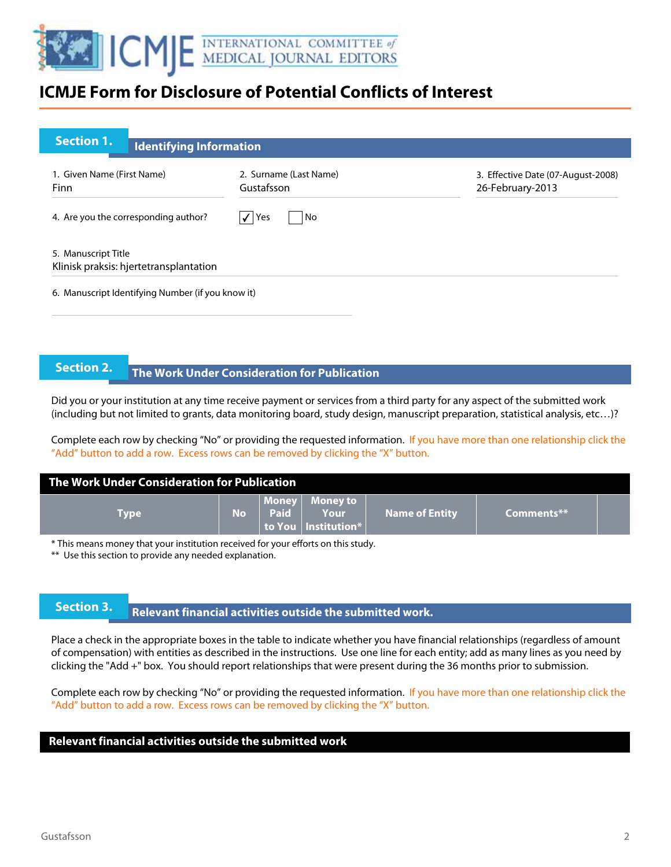

| 2. Surname (Last Name)<br>3. Effective Date (07-August-2008)<br>26-February-2013 |
|----------------------------------------------------------------------------------|
| No                                                                               |
|                                                                                  |
| Gustafsson                                                                       |

## **The Work Under Consideration for Publication**

Did you or your institution at any time receive payment or services from a third party for any aspect of the submitted work (including but not limited to grants, data monitoring board, study design, manuscript preparation, statistical analysis, etc…)?

Complete each row by checking "No" or providing the requested information. If you have more than one relationship click the "Add" button to add a row. Excess rows can be removed by clicking the "X" button.

| $\blacksquare$ The Work Under Consideration for Publication $\blacksquare$ |           |                 |                                                                  |                       |            |  |  |  |
|----------------------------------------------------------------------------|-----------|-----------------|------------------------------------------------------------------|-----------------------|------------|--|--|--|
| <b>Type</b>                                                                | <b>No</b> | Monev  <br>Paid | Money to<br>Your<br>$\mid$ to You $\mid$ Institution $^*$ $\mid$ | <b>Name of Entity</b> | Comments** |  |  |  |

\* This means money that your institution received for your efforts on this study.

\*\* Use this section to provide any needed explanation.

### **Section 3.** Relevant financial activities outside the submitted work.

Place a check in the appropriate boxes in the table to indicate whether you have financial relationships (regardless of amount of compensation) with entities as described in the instructions. Use one line for each entity; add as many lines as you need by clicking the "Add +" box. You should report relationships that were present during the 36 months prior to submission.

Complete each row by checking "No" or providing the requested information. If you have more than one relationship click the "Add" button to add a row. Excess rows can be removed by clicking the "X" button.

### **Relevant financial activities outside the submitted work**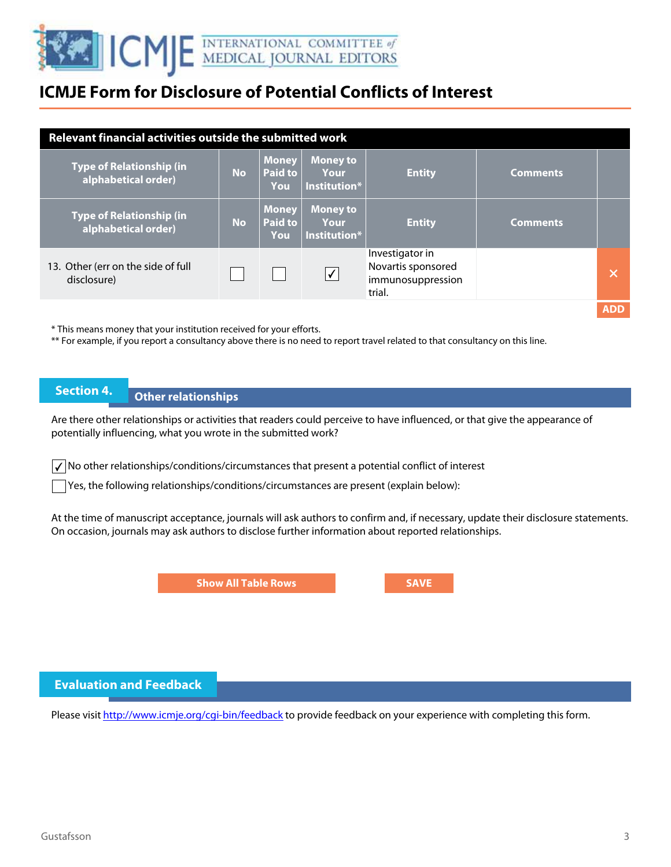

| Relevant financial activities outside the submitted work |           |                                       |                                         |                                                                      |                 |                       |  |  |
|----------------------------------------------------------|-----------|---------------------------------------|-----------------------------------------|----------------------------------------------------------------------|-----------------|-----------------------|--|--|
| <b>Type of Relationship (in</b><br>alphabetical order)   | <b>No</b> | <b>Money</b><br><b>Paid to</b><br>You | <b>Money to</b><br>Your<br>Institution* | <b>Entity</b>                                                        | <b>Comments</b> |                       |  |  |
| <b>Type of Relationship (in</b><br>alphabetical order)   | <b>No</b> | <b>Money</b><br>Paid to<br>You        | <b>Money to</b><br>Your<br>Institution* | <b>Entity</b>                                                        | <b>Comments</b> |                       |  |  |
| 13. Other (err on the side of full<br>disclosure)        |           |                                       | $\checkmark$                            | Investigator in<br>Novartis sponsored<br>immunosuppression<br>trial. |                 | $\boldsymbol{\times}$ |  |  |
|                                                          |           |                                       |                                         |                                                                      |                 | <b>ADD</b>            |  |  |

\* This means money that your institution received for your efforts.

\*\* For example, if you report a consultancy above there is no need to report travel related to that consultancy on this line.

### **Other relationships Section 4.**

Are there other relationships or activities that readers could perceive to have influenced, or that give the appearance of potentially influencing, what you wrote in the submitted work?

 $\sqrt{\sqrt{}}$  No other relationships/conditions/circumstances that present a potential conflict of interest

Yes, the following relationships/conditions/circumstances are present (explain below):

At the time of manuscript acceptance, journals will ask authors to confirm and, if necessary, update their disclosure statements. On occasion, journals may ask authors to disclose further information about reported relationships.

**Show All Table Rows SAVE** 

### **Evaluation and Feedback**

Please visit http://www.icmje.org/cgi-bin/feedback to provide feedback on your experience with completing this form.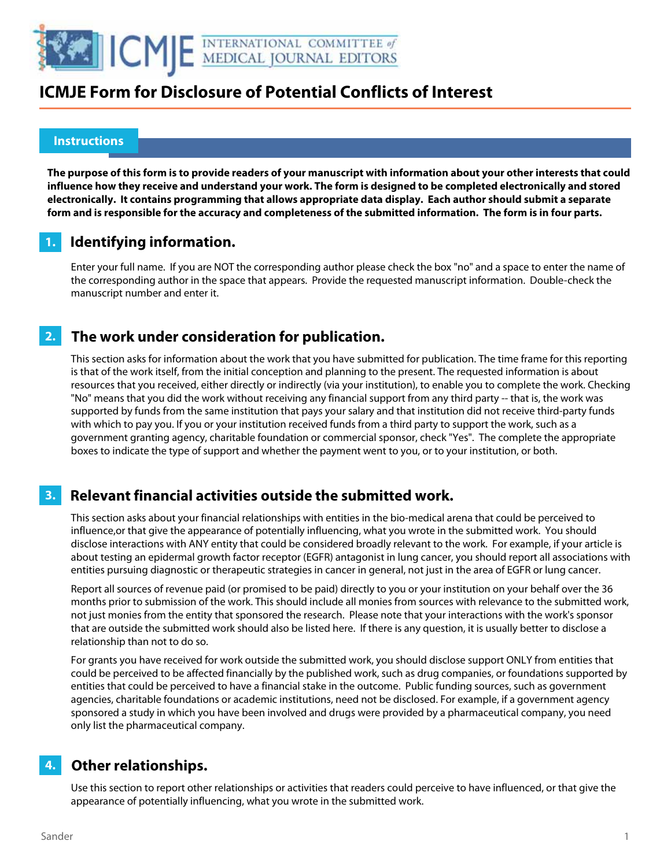

### **Instructions**

l

**The purpose of this form is to provide readers of your manuscript with information about your other interests that could influence how they receive and understand your work. The form is designed to be completed electronically and stored electronically. It contains programming that allows appropriate data display. Each author should submit a separate form and is responsible for the accuracy and completeness of the submitted information. The form is in four parts.** 

### **Identifying information. 1.**

Enter your full name. If you are NOT the corresponding author please check the box "no" and a space to enter the name of the corresponding author in the space that appears. Provide the requested manuscript information. Double-check the manuscript number and enter it.

#### **The work under consideration for publication. 2.**

This section asks for information about the work that you have submitted for publication. The time frame for this reporting is that of the work itself, from the initial conception and planning to the present. The requested information is about resources that you received, either directly or indirectly (via your institution), to enable you to complete the work. Checking "No" means that you did the work without receiving any financial support from any third party -- that is, the work was supported by funds from the same institution that pays your salary and that institution did not receive third-party funds with which to pay you. If you or your institution received funds from a third party to support the work, such as a government granting agency, charitable foundation or commercial sponsor, check "Yes". The complete the appropriate boxes to indicate the type of support and whether the payment went to you, or to your institution, or both.

### **Relevant financial activities outside the submitted work. 3.**

This section asks about your financial relationships with entities in the bio-medical arena that could be perceived to influence,or that give the appearance of potentially influencing, what you wrote in the submitted work. You should disclose interactions with ANY entity that could be considered broadly relevant to the work. For example, if your article is about testing an epidermal growth factor receptor (EGFR) antagonist in lung cancer, you should report all associations with entities pursuing diagnostic or therapeutic strategies in cancer in general, not just in the area of EGFR or lung cancer.

Report all sources of revenue paid (or promised to be paid) directly to you or your institution on your behalf over the 36 months prior to submission of the work. This should include all monies from sources with relevance to the submitted work, not just monies from the entity that sponsored the research. Please note that your interactions with the work's sponsor that are outside the submitted work should also be listed here. If there is any question, it is usually better to disclose a relationship than not to do so.

For grants you have received for work outside the submitted work, you should disclose support ONLY from entities that could be perceived to be affected financially by the published work, such as drug companies, or foundations supported by entities that could be perceived to have a financial stake in the outcome. Public funding sources, such as government agencies, charitable foundations or academic institutions, need not be disclosed. For example, if a government agency sponsored a study in which you have been involved and drugs were provided by a pharmaceutical company, you need only list the pharmaceutical company.

### **Other relationships. 4.**

Use this section to report other relationships or activities that readers could perceive to have influenced, or that give the appearance of potentially influencing, what you wrote in the submitted work.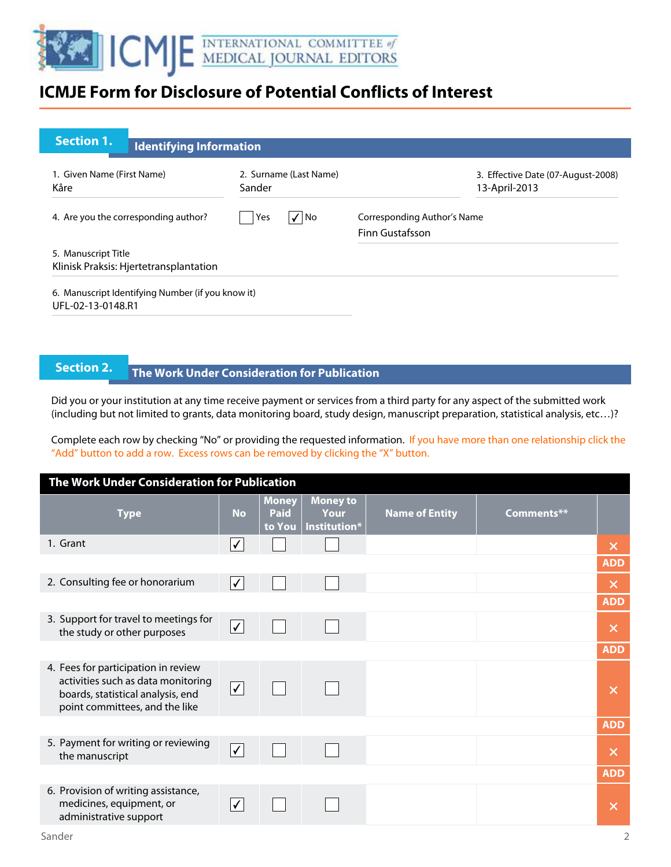

| <b>Section 1.</b>                  | <b>Identifying Information</b>                    |        |                        |                                                       |                                                     |
|------------------------------------|---------------------------------------------------|--------|------------------------|-------------------------------------------------------|-----------------------------------------------------|
| 1. Given Name (First Name)<br>Kåre |                                                   | Sander | 2. Surname (Last Name) |                                                       | 3. Effective Date (07-August-2008)<br>13-April-2013 |
|                                    | 4. Are you the corresponding author?              | Yes    | $\sqrt{ N_{0}}$        | Corresponding Author's Name<br><b>Finn Gustafsson</b> |                                                     |
| 5. Manuscript Title                | Klinisk Praksis: Hjertetransplantation            |        |                        |                                                       |                                                     |
| UFL-02-13-0148.R1                  | 6. Manuscript Identifying Number (if you know it) |        |                        |                                                       |                                                     |

## **The Work Under Consideration for Publication**

Did you or your institution at any time receive payment or services from a third party for any aspect of the submitted work (including but not limited to grants, data monitoring board, study design, manuscript preparation, statistical analysis, etc…)?

Complete each row by checking "No" or providing the requested information. If you have more than one relationship click the "Add" button to add a row. Excess rows can be removed by clicking the "X" button.

| The Work Under Consideration for Publication                                                                                                     |                             |                                       |                                         |                       |            |                       |  |  |  |
|--------------------------------------------------------------------------------------------------------------------------------------------------|-----------------------------|---------------------------------------|-----------------------------------------|-----------------------|------------|-----------------------|--|--|--|
| <b>Type</b>                                                                                                                                      | <b>No</b>                   | <b>Money</b><br><b>Paid</b><br>to You | <b>Money to</b><br>Your<br>Institution* | <b>Name of Entity</b> | Comments** |                       |  |  |  |
| 1. Grant                                                                                                                                         | $\blacktriangledown$        |                                       |                                         |                       |            | $\times$              |  |  |  |
|                                                                                                                                                  |                             |                                       |                                         |                       |            | <b>ADD</b>            |  |  |  |
| 2. Consulting fee or honorarium                                                                                                                  | $\blacktriangledown$        |                                       |                                         |                       |            | $\times$              |  |  |  |
|                                                                                                                                                  |                             |                                       |                                         |                       |            | <b>ADD</b>            |  |  |  |
| 3. Support for travel to meetings for<br>the study or other purposes                                                                             | $\overline{\mathcal{F}}$    |                                       |                                         |                       |            | $\times$              |  |  |  |
|                                                                                                                                                  |                             |                                       |                                         |                       |            | <b>ADD</b>            |  |  |  |
| 4. Fees for participation in review<br>activities such as data monitoring<br>boards, statistical analysis, end<br>point committees, and the like | $ \mathcal{V} $             |                                       |                                         |                       |            | $\times$              |  |  |  |
|                                                                                                                                                  |                             |                                       |                                         |                       |            | <b>ADD</b>            |  |  |  |
| 5. Payment for writing or reviewing<br>the manuscript                                                                                            | $\overline{\blacktriangle}$ |                                       |                                         |                       |            | $\boldsymbol{\times}$ |  |  |  |
|                                                                                                                                                  |                             |                                       |                                         |                       |            | <b>ADD</b>            |  |  |  |
| 6. Provision of writing assistance,<br>medicines, equipment, or<br>administrative support                                                        | ✓                           |                                       |                                         |                       |            | $\times$              |  |  |  |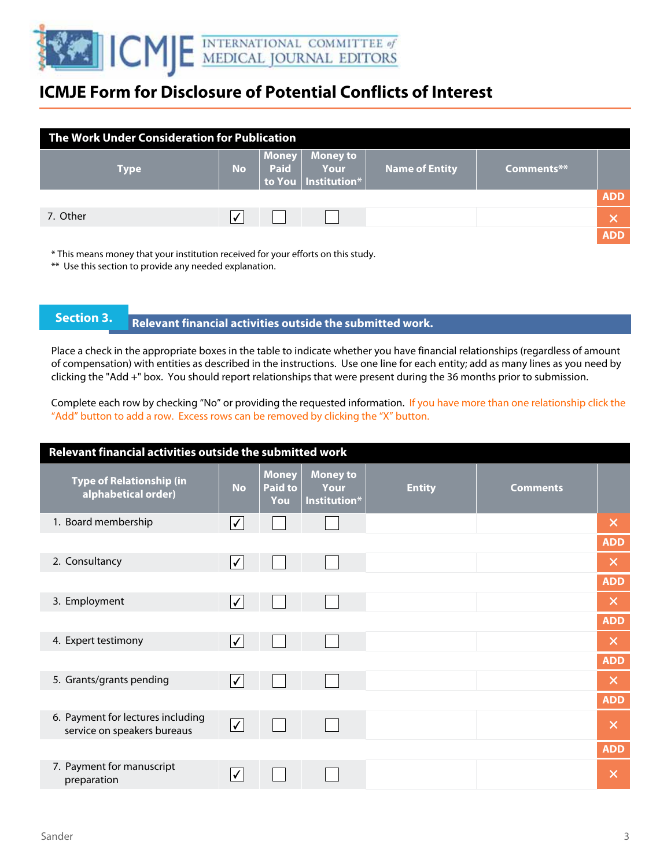

| The Work Under Consideration for Publication |             |           |              |                                                                                                                                      |                       |            |            |  |  |
|----------------------------------------------|-------------|-----------|--------------|--------------------------------------------------------------------------------------------------------------------------------------|-----------------------|------------|------------|--|--|
|                                              | <b>Type</b> | <b>No</b> | <b>Money</b> | Money to<br>$\begin{array}{ c c } \hline \texttt{Pad} & \texttt{Your} \\ \hline \texttt{to You} & \texttt{Institution*} \end{array}$ | <b>Name of Entity</b> | Comments** |            |  |  |
|                                              |             |           |              |                                                                                                                                      |                       |            | <b>ADD</b> |  |  |
| 7. Other                                     |             |           |              |                                                                                                                                      |                       |            | $\times$   |  |  |
|                                              |             |           |              |                                                                                                                                      |                       |            | <b>ADD</b> |  |  |

\* This means money that your institution received for your efforts on this study.

\*\* Use this section to provide any needed explanation.

## **Section 3.** Relevant financial activities outside the submitted work.

Place a check in the appropriate boxes in the table to indicate whether you have financial relationships (regardless of amount of compensation) with entities as described in the instructions. Use one line for each entity; add as many lines as you need by clicking the "Add +" box. You should report relationships that were present during the 36 months prior to submission.

Complete each row by checking "No" or providing the requested information. If you have more than one relationship click the "Add" button to add a row. Excess rows can be removed by clicking the "X" button.

| Relevant financial activities outside the submitted work         |                      |                                       |                                         |               |                 |                           |  |  |  |
|------------------------------------------------------------------|----------------------|---------------------------------------|-----------------------------------------|---------------|-----------------|---------------------------|--|--|--|
| <b>Type of Relationship (in</b><br>alphabetical order)           | <b>No</b>            | <b>Money</b><br><b>Paid to</b><br>You | <b>Money to</b><br>Your<br>Institution* | <b>Entity</b> | <b>Comments</b> |                           |  |  |  |
| 1. Board membership                                              | $\checkmark$         |                                       |                                         |               |                 | $\boldsymbol{\times}$     |  |  |  |
|                                                                  |                      |                                       |                                         |               |                 | <b>ADD</b>                |  |  |  |
| 2. Consultancy                                                   | $\blacktriangledown$ |                                       |                                         |               |                 | $\times$                  |  |  |  |
|                                                                  |                      |                                       |                                         |               |                 | <b>ADD</b>                |  |  |  |
| 3. Employment                                                    | $\blacktriangledown$ |                                       |                                         |               |                 | $\boldsymbol{\mathsf{x}}$ |  |  |  |
|                                                                  |                      |                                       |                                         |               |                 | <b>ADD</b>                |  |  |  |
| 4. Expert testimony                                              | $\blacktriangledown$ |                                       |                                         |               |                 | $\boldsymbol{\mathsf{x}}$ |  |  |  |
|                                                                  |                      |                                       |                                         |               |                 | <b>ADD</b>                |  |  |  |
| 5. Grants/grants pending                                         | √                    |                                       |                                         |               |                 | $\times$                  |  |  |  |
|                                                                  |                      |                                       |                                         |               |                 | <b>ADD</b>                |  |  |  |
| 6. Payment for lectures including<br>service on speakers bureaus | $\boxed{\checkmark}$ |                                       |                                         |               |                 | $\boldsymbol{\times}$     |  |  |  |
|                                                                  |                      |                                       |                                         |               |                 | <b>ADD</b>                |  |  |  |
| 7. Payment for manuscript<br>preparation                         | $\checkmark$         |                                       |                                         |               |                 | $\times$                  |  |  |  |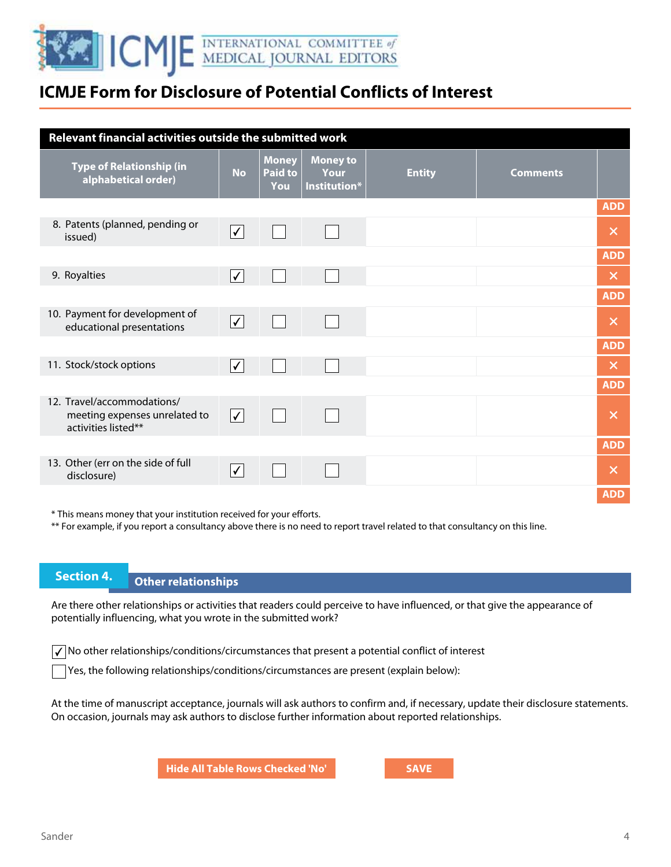

| Relevant financial activities outside the submitted work                           |                           |                                       |                                         |               |                 |                           |  |  |  |
|------------------------------------------------------------------------------------|---------------------------|---------------------------------------|-----------------------------------------|---------------|-----------------|---------------------------|--|--|--|
| <b>Type of Relationship (in</b><br>alphabetical order)                             | <b>No</b>                 | <b>Money</b><br><b>Paid to</b><br>You | <b>Money to</b><br>Your<br>Institution* | <b>Entity</b> | <b>Comments</b> |                           |  |  |  |
|                                                                                    |                           |                                       |                                         |               |                 | <b>ADD</b>                |  |  |  |
| 8. Patents (planned, pending or<br>issued)                                         | $\boxed{\checkmark}$      |                                       |                                         |               |                 | $\overline{\mathsf{x}}$   |  |  |  |
|                                                                                    |                           |                                       |                                         |               |                 | <b>ADD</b>                |  |  |  |
| 9. Royalties                                                                       | $\blacktriangledown$      |                                       |                                         |               |                 | $\times$                  |  |  |  |
|                                                                                    |                           |                                       |                                         |               |                 | <b>ADD</b>                |  |  |  |
| 10. Payment for development of<br>educational presentations                        | $ \checkmark $            |                                       |                                         |               |                 | $\boldsymbol{\times}$     |  |  |  |
|                                                                                    |                           |                                       |                                         |               |                 | <b>ADD</b>                |  |  |  |
| 11. Stock/stock options                                                            | $\blacktriangledown$      |                                       |                                         |               |                 | $\times$                  |  |  |  |
|                                                                                    |                           |                                       |                                         |               |                 | <b>ADD</b>                |  |  |  |
| 12. Travel/accommodations/<br>meeting expenses unrelated to<br>activities listed** | $ \mathcal{V} $           |                                       |                                         |               |                 | $\boldsymbol{\mathsf{x}}$ |  |  |  |
|                                                                                    |                           |                                       |                                         |               |                 | <b>ADD</b>                |  |  |  |
| 13. Other (err on the side of full<br>disclosure)                                  | $ \boldsymbol\checkmark $ |                                       |                                         |               |                 | $\boldsymbol{\times}$     |  |  |  |
|                                                                                    |                           |                                       |                                         |               |                 | <b>ADD</b>                |  |  |  |

\* This means money that your institution received for your efforts.

\*\* For example, if you report a consultancy above there is no need to report travel related to that consultancy on this line.

 **Other relationships Section 4.**

Are there other relationships or activities that readers could perceive to have influenced, or that give the appearance of potentially influencing, what you wrote in the submitted work?

 $\sqrt{\ }$  No other relationships/conditions/circumstances that present a potential conflict of interest

Yes, the following relationships/conditions/circumstances are present (explain below):

At the time of manuscript acceptance, journals will ask authors to confirm and, if necessary, update their disclosure statements. On occasion, journals may ask authors to disclose further information about reported relationships.

**Hide All Table Rows Checked 'No' SAVE**